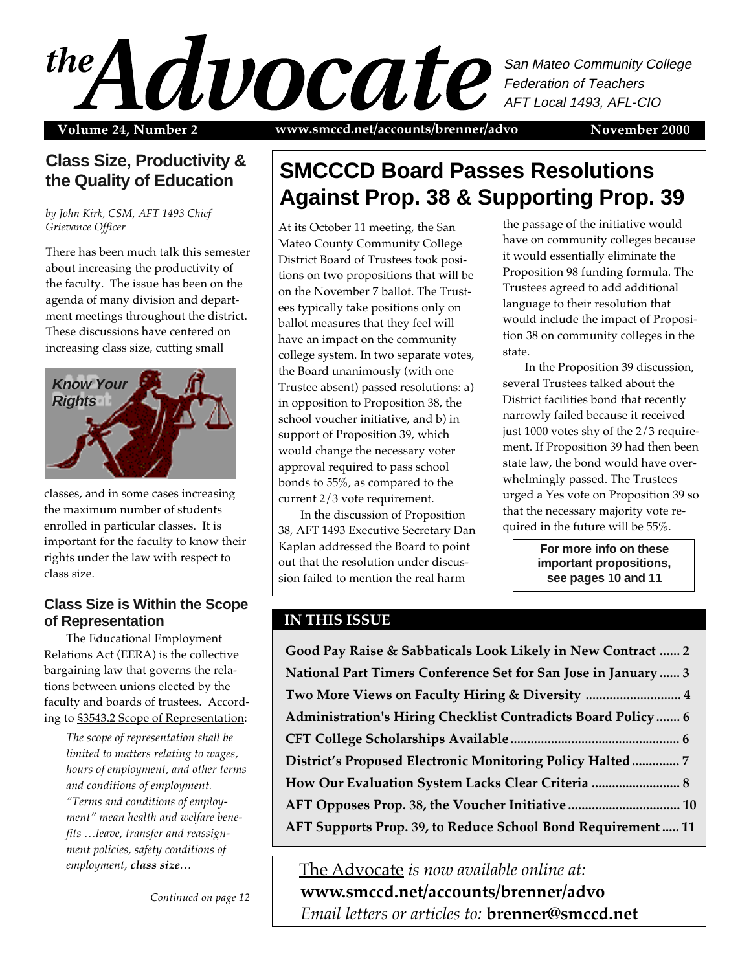### $\mathcal{A}$ San Mateo Community College Federation of Teachers AFT Local 1493, AFL-CIO

Volume 24, Number 2 www.smccd.net/accounts/brenner/advo November 2000

### **Class Size, Productivity & the Quality of Education**

*by John Kirk, CSM, AFT 1493 Chief Grievance Officer*

There has been much talk this semester about increasing the productivity of the faculty. The issue has been on the agenda of many division and department meetings throughout the district. These discussions have centered on increasing class size, cutting small



classes, and in some cases increasing the maximum number of students enrolled in particular classes. It is important for the faculty to know their rights under the law with respect to class size.

#### **Class Size is Within the Scope of Representation**

The Educational Employment Relations Act (EERA) is the collective bargaining law that governs the relations between unions elected by the faculty and boards of trustees. According to §3543.2 Scope of Representation:

> *The scope of representation shall be limited to matters relating to wages, hours of employment, and other terms and conditions of employment. "Terms and conditions of employment" mean health and welfare benefits …leave, transfer and reassignment policies, safety conditions of employment, class size…*

> > *Continued on page 12*

### **SMCCCD Board Passes Resolutions Against Prop. 38 & Supporting Prop. 39**

At its October 11 meeting, the San Mateo County Community College District Board of Trustees took positions on two propositions that will be on the November 7 ballot. The Trustees typically take positions only on ballot measures that they feel will have an impact on the community college system. In two separate votes, the Board unanimously (with one Trustee absent) passed resolutions: a) in opposition to Proposition 38, the school voucher initiative, and b) in support of Proposition 39, which would change the necessary voter approval required to pass school bonds to 55%, as compared to the current 2/3 vote requirement.

In the discussion of Proposition 38, AFT 1493 Executive Secretary Dan Kaplan addressed the Board to point out that the resolution under discussion failed to mention the real harm

the passage of the initiative would have on community colleges because it would essentially eliminate the Proposition 98 funding formula. The Trustees agreed to add additional language to their resolution that would include the impact of Proposition 38 on community colleges in the state.

In the Proposition 39 discussion, several Trustees talked about the District facilities bond that recently narrowly failed because it received just 1000 votes shy of the 2/3 requirement. If Proposition 39 had then been state law, the bond would have overwhelmingly passed. The Trustees urged a Yes vote on Proposition 39 so that the necessary majority vote required in the future will be 55%.

> **For more info on these important propositions, see pages 10 and 11**

#### **IN THIS ISSUE**

| Good Pay Raise & Sabbaticals Look Likely in New Contract  2         |  |
|---------------------------------------------------------------------|--|
| National Part Timers Conference Set for San Jose in January  3      |  |
| Two More Views on Faculty Hiring & Diversity  4                     |  |
| <b>Administration's Hiring Checklist Contradicts Board Policy 6</b> |  |
|                                                                     |  |
|                                                                     |  |
|                                                                     |  |
|                                                                     |  |
| AFT Supports Prop. 39, to Reduce School Bond Requirement  11        |  |
|                                                                     |  |

The Advocate *is now available online at:* **www.smccd.net/accounts/brenner/advo** *Email letters or articles to:* **brenner@smccd.net**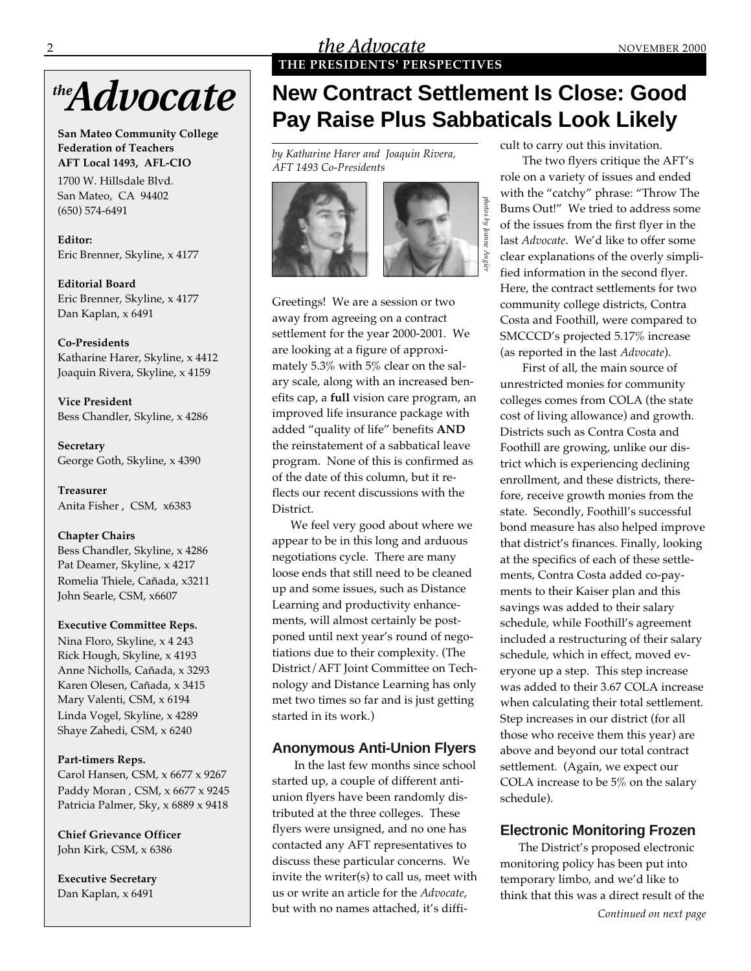# the **Advocate**

**San Mateo Community College Federation of Teachers AFT Local 1493, AFL-CIO**

1700 W. Hillsdale Blvd. San Mateo, CA 94402 (650) 574-6491

**Editor:** Eric Brenner, Skyline, x 4177

**Editorial Board** Eric Brenner, Skyline, x 4177 Dan Kaplan, x 6491

**Co-Presidents** Katharine Harer, Skyline, x 4412 Joaquin Rivera, Skyline, x 4159

**Vice President** Bess Chandler, Skyline, x 4286

**Secretary** George Goth, Skyline, x 4390

**Treasurer** Anita Fisher , CSM, x6383

#### **Chapter Chairs**

Bess Chandler, Skyline, x 4286 Pat Deamer, Skyline, x 4217 Romelia Thiele, Cañada, x3211 John Searle, CSM, x6607

#### **Executive Committee Reps.**

Nina Floro, Skyline, x 4 243 Rick Hough, Skyline, x 4193 Anne Nicholls, Cañada, x 3293 Karen Olesen, Cañada, x 3415 Mary Valenti, CSM, x 6194 Linda Vogel, Skyline, x 4289 Shaye Zahedi, CSM, x 6240

#### **Part-timers Reps.**

Carol Hansen, CSM, x 6677 x 9267 Paddy Moran , CSM, x 6677 x 9245 Patricia Palmer, Sky, x 6889 x 9418

**Chief Grievance Officer** John Kirk, CSM, x 6386

**Executive Secretary** Dan Kaplan, x 6491

#### 2 **the Advocate** MOVEMBER 2000 **THE PRESIDENTS' PERSPECTIVES**

## **New Contract Settlement Is Close: Good Pay Raise Plus Sabbaticals Look Likely**

*photos by Jeanne Angier*

photos by Jeanne

*by Katharine Harer and Joaquin Rivera, AFT 1493 Co-Presidents*



Greetings! We are a session or two away from agreeing on a contract settlement for the year 2000-2001. We are looking at a figure of approximately 5.3% with 5% clear on the salary scale, along with an increased benefits cap, a **full** vision care program, an improved life insurance package with added "quality of life" benefits **AND** the reinstatement of a sabbatical leave program. None of this is confirmed as of the date of this column, but it reflects our recent discussions with the District.

We feel very good about where we appear to be in this long and arduous negotiations cycle. There are many loose ends that still need to be cleaned up and some issues, such as Distance Learning and productivity enhancements, will almost certainly be postponed until next year's round of negotiations due to their complexity. (The District/AFT Joint Committee on Technology and Distance Learning has only met two times so far and is just getting started in its work.)

#### **Anonymous Anti-Union Flyers**

In the last few months since school started up, a couple of different antiunion flyers have been randomly distributed at the three colleges. These flyers were unsigned, and no one has contacted any AFT representatives to discuss these particular concerns. We invite the writer(s) to call us, meet with us or write an article for the *Advocate*, but with no names attached, it's difficult to carry out this invitation.

The two flyers critique the AFT's role on a variety of issues and ended with the "catchy" phrase: "Throw The Bums Out!" We tried to address some of the issues from the first flyer in the last *Advocate*. We'd like to offer some clear explanations of the overly simplified information in the second flyer. Here, the contract settlements for two community college districts, Contra Costa and Foothill, were compared to SMCCCD's projected 5.17% increase (as reported in the last *Advocate*).

First of all, the main source of unrestricted monies for community colleges comes from COLA (the state cost of living allowance) and growth. Districts such as Contra Costa and Foothill are growing, unlike our district which is experiencing declining enrollment, and these districts, therefore, receive growth monies from the state. Secondly, Foothill's successful bond measure has also helped improve that district's finances. Finally, looking at the specifics of each of these settlements, Contra Costa added co-payments to their Kaiser plan and this savings was added to their salary schedule, while Foothill's agreement included a restructuring of their salary schedule, which in effect, moved everyone up a step. This step increase was added to their 3.67 COLA increase when calculating their total settlement. Step increases in our district (for all those who receive them this year) are above and beyond our total contract settlement. (Again, we expect our COLA increase to be 5% on the salary schedule).

#### **Electronic Monitoring Frozen**

The District's proposed electronic monitoring policy has been put into temporary limbo, and we'd like to think that this was a direct result of the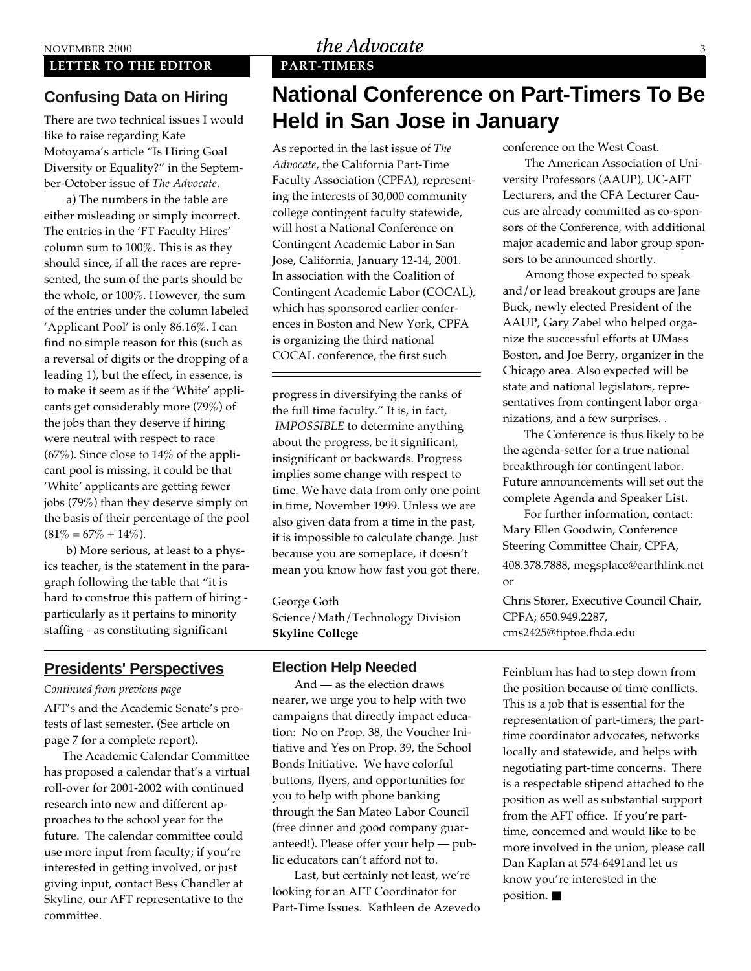#### **LETTER TO THE EDITOR PART-TIMERS**

#### **Confusing Data on Hiring**

There are two technical issues I would like to raise regarding Kate Motoyama's article "Is Hiring Goal Diversity or Equality?" in the September-October issue of *The Advocate*.

a) The numbers in the table are either misleading or simply incorrect. The entries in the 'FT Faculty Hires' column sum to 100%. This is as they should since, if all the races are represented, the sum of the parts should be the whole, or 100%. However, the sum of the entries under the column labeled 'Applicant Pool' is only 86.16%. I can find no simple reason for this (such as a reversal of digits or the dropping of a leading 1), but the effect, in essence, is to make it seem as if the 'White' applicants get considerably more (79%) of the jobs than they deserve if hiring were neutral with respect to race (67%). Since close to 14% of the applicant pool is missing, it could be that 'White' applicants are getting fewer jobs (79%) than they deserve simply on the basis of their percentage of the pool  $(81\% = 67\% + 14\%).$ 

b) More serious, at least to a physics teacher, is the statement in the paragraph following the table that "it is hard to construe this pattern of hiring particularly as it pertains to minority staffing - as constituting significant

#### **Presidents' Perspectives**

#### *Continued from previous page*

AFT's and the Academic Senate's protests of last semester. (See article on page 7 for a complete report).

The Academic Calendar Committee has proposed a calendar that's a virtual roll-over for 2001-2002 with continued research into new and different approaches to the school year for the future. The calendar committee could use more input from faculty; if you're interested in getting involved, or just giving input, contact Bess Chandler at Skyline, our AFT representative to the committee.

#### NOVEMBER 2000  $the \,A dvocate$  3

### **National Conference on Part-Timers To Be Held in San Jose in January**

As reported in the last issue of *The Advocate*, the California Part-Time Faculty Association (CPFA), representing the interests of 30,000 community college contingent faculty statewide, will host a National Conference on Contingent Academic Labor in San Jose, California, January 12-14, 2001. In association with the Coalition of Contingent Academic Labor (COCAL), which has sponsored earlier conferences in Boston and New York, CPFA is organizing the third national COCAL conference, the first such

progress in diversifying the ranks of the full time faculty." It is, in fact, *IMPOSSIBLE* to determine anything about the progress, be it significant, insignificant or backwards. Progress implies some change with respect to time. We have data from only one point in time, November 1999. Unless we are also given data from a time in the past, it is impossible to calculate change. Just because you are someplace, it doesn't mean you know how fast you got there.

George Goth Science/Math/Technology Division **Skyline College**

#### **Election Help Needed**

And — as the election draws nearer, we urge you to help with two campaigns that directly impact education: No on Prop. 38, the Voucher Initiative and Yes on Prop. 39, the School Bonds Initiative. We have colorful buttons, flyers, and opportunities for you to help with phone banking through the San Mateo Labor Council (free dinner and good company guaranteed!). Please offer your help — public educators can't afford not to.

Last, but certainly not least, we're looking for an AFT Coordinator for Part-Time Issues. Kathleen de Azevedo conference on the West Coast.

The American Association of University Professors (AAUP), UC-AFT Lecturers, and the CFA Lecturer Caucus are already committed as co-sponsors of the Conference, with additional major academic and labor group sponsors to be announced shortly.

Among those expected to speak and/or lead breakout groups are Jane Buck, newly elected President of the AAUP, Gary Zabel who helped organize the successful efforts at UMass Boston, and Joe Berry, organizer in the Chicago area. Also expected will be state and national legislators, representatives from contingent labor organizations, and a few surprises. .

 The Conference is thus likely to be the agenda-setter for a true national breakthrough for contingent labor. Future announcements will set out the complete Agenda and Speaker List.

 For further information, contact: Mary Ellen Goodwin, Conference Steering Committee Chair, CPFA, 408.378.7888, megsplace@earthlink.net or Chris Storer, Executive Council Chair,

CPFA; 650.949.2287, cms2425@tiptoe.fhda.edu

Feinblum has had to step down from the position because of time conflicts. This is a job that is essential for the representation of part-timers; the parttime coordinator advocates, networks locally and statewide, and helps with negotiating part-time concerns. There is a respectable stipend attached to the position as well as substantial support from the AFT office. If you're parttime, concerned and would like to be more involved in the union, please call Dan Kaplan at 574-6491and let us know you're interested in the position. ■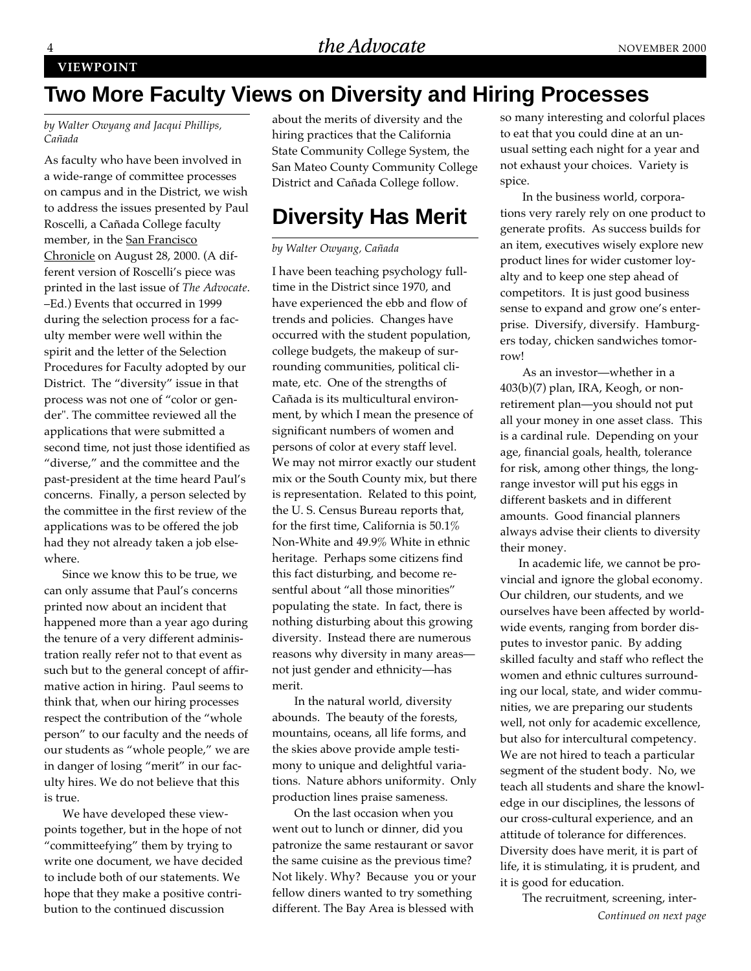#### **VIEWPOINT**

### **Two More Faculty Views on Diversity and Hiring Processes**

*by Walter Owyang and Jacqui Phillips, Cañada*

As faculty who have been involved in a wide-range of committee processes on campus and in the District, we wish to address the issues presented by Paul Roscelli, a Cañada College faculty member, in the San Francisco Chronicle on August 28, 2000. (A different version of Roscelli's piece was printed in the last issue of *The Advocate*. –Ed.) Events that occurred in 1999 during the selection process for a faculty member were well within the spirit and the letter of the Selection Procedures for Faculty adopted by our District. The "diversity" issue in that process was not one of "color or gender". The committee reviewed all the applications that were submitted a second time, not just those identified as "diverse," and the committee and the past-president at the time heard Paul's concerns. Finally, a person selected by the committee in the first review of the applications was to be offered the job had they not already taken a job elsewhere.

Since we know this to be true, we can only assume that Paul's concerns printed now about an incident that happened more than a year ago during the tenure of a very different administration really refer not to that event as such but to the general concept of affirmative action in hiring. Paul seems to think that, when our hiring processes respect the contribution of the "whole person" to our faculty and the needs of our students as "whole people," we are in danger of losing "merit" in our faculty hires. We do not believe that this is true.

We have developed these viewpoints together, but in the hope of not "committeefying" them by trying to write one document, we have decided to include both of our statements. We hope that they make a positive contribution to the continued discussion

about the merits of diversity and the hiring practices that the California State Community College System, the San Mateo County Community College District and Cañada College follow.

### **Diversity Has Merit**

#### *by Walter Owyang, Cañada*

I have been teaching psychology fulltime in the District since 1970, and have experienced the ebb and flow of trends and policies. Changes have occurred with the student population, college budgets, the makeup of surrounding communities, political climate, etc. One of the strengths of Cañada is its multicultural environment, by which I mean the presence of significant numbers of women and persons of color at every staff level. We may not mirror exactly our student mix or the South County mix, but there is representation. Related to this point, the U. S. Census Bureau reports that, for the first time, California is 50.1% Non-White and 49.9% White in ethnic heritage. Perhaps some citizens find this fact disturbing, and become resentful about "all those minorities" populating the state. In fact, there is nothing disturbing about this growing diversity. Instead there are numerous reasons why diversity in many areas not just gender and ethnicity—has merit.

In the natural world, diversity abounds. The beauty of the forests, mountains, oceans, all life forms, and the skies above provide ample testimony to unique and delightful variations. Nature abhors uniformity. Only production lines praise sameness.

On the last occasion when you went out to lunch or dinner, did you patronize the same restaurant or savor the same cuisine as the previous time? Not likely. Why? Because you or your fellow diners wanted to try something different. The Bay Area is blessed with

so many interesting and colorful places to eat that you could dine at an unusual setting each night for a year and not exhaust your choices. Variety is spice.

In the business world, corporations very rarely rely on one product to generate profits. As success builds for an item, executives wisely explore new product lines for wider customer loyalty and to keep one step ahead of competitors. It is just good business sense to expand and grow one's enterprise. Diversify, diversify. Hamburgers today, chicken sandwiches tomorrow!

As an investor—whether in a 403(b)(7) plan, IRA, Keogh, or nonretirement plan—you should not put all your money in one asset class. This is a cardinal rule. Depending on your age, financial goals, health, tolerance for risk, among other things, the longrange investor will put his eggs in different baskets and in different amounts. Good financial planners always advise their clients to diversity their money.

In academic life, we cannot be provincial and ignore the global economy. Our children, our students, and we ourselves have been affected by worldwide events, ranging from border disputes to investor panic. By adding skilled faculty and staff who reflect the women and ethnic cultures surrounding our local, state, and wider communities, we are preparing our students well, not only for academic excellence, but also for intercultural competency. We are not hired to teach a particular segment of the student body. No, we teach all students and share the knowledge in our disciplines, the lessons of our cross-cultural experience, and an attitude of tolerance for differences. Diversity does have merit, it is part of life, it is stimulating, it is prudent, and it is good for education.

The recruitment, screening, inter-*Continued on next page*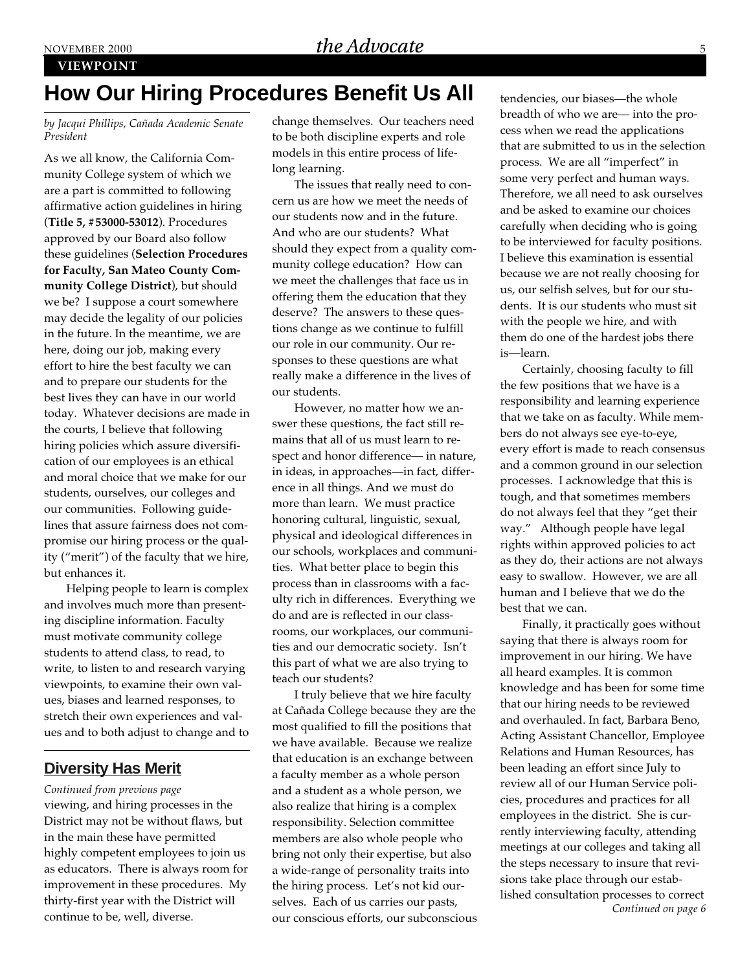#### **VIEWPOINT**

### **How Our Hiring Procedures Benefit Us All**

*by Jacqui Phillips, Cañada Academic Senate President*

As we all know, the California Community College system of which we are a part is committed to following affirmative action guidelines in hiring (**Title 5, #53000-53012**). Procedures approved by our Board also follow these guidelines (**Selection Procedures for Faculty, San Mateo County Community College District**), but should we be? I suppose a court somewhere may decide the legality of our policies in the future. In the meantime, we are here, doing our job, making every effort to hire the best faculty we can and to prepare our students for the best lives they can have in our world today. Whatever decisions are made in the courts, I believe that following hiring policies which assure diversification of our employees is an ethical and moral choice that we make for our students, ourselves, our colleges and our communities. Following guidelines that assure fairness does not compromise our hiring process or the quality ("merit") of the faculty that we hire, but enhances it.

Helping people to learn is complex and involves much more than presenting discipline information. Faculty must motivate community college students to attend class, to read, to write, to listen to and research varying viewpoints, to examine their own values, biases and learned responses, to stretch their own experiences and values and to both adjust to change and to

#### **Diversity Has Merit**

viewing, and hiring processes in the District may not be without flaws, but in the main these have permitted highly competent employees to join us as educators. There is always room for improvement in these procedures. My thirty-first year with the District will continue to be, well, diverse. *Continued from previous page*

change themselves. Our teachers need to be both discipline experts and role models in this entire process of lifelong learning.

The issues that really need to concern us are how we meet the needs of our students now and in the future. And who are our students? What should they expect from a quality community college education? How can we meet the challenges that face us in offering them the education that they deserve? The answers to these questions change as we continue to fulfill our role in our community. Our responses to these questions are what really make a difference in the lives of our students.

However, no matter how we answer these questions, the fact still remains that all of us must learn to respect and honor difference— in nature, in ideas, in approaches—in fact, difference in all things. And we must do more than learn. We must practice honoring cultural, linguistic, sexual, physical and ideological differences in our schools, workplaces and communities. What better place to begin this process than in classrooms with a faculty rich in differences. Everything we do and are is reflected in our classrooms, our workplaces, our communities and our democratic society. Isn't this part of what we are also trying to teach our students?

I truly believe that we hire faculty at Cañada College because they are the most qualified to fill the positions that we have available. Because we realize that education is an exchange between a faculty member as a whole person and a student as a whole person, we also realize that hiring is a complex responsibility. Selection committee members are also whole people who bring not only their expertise, but also a wide-range of personality traits into the hiring process. Let's not kid ourselves. Each of us carries our pasts, our conscious efforts, our subconscious

tendencies, our biases—the whole breadth of who we are— into the process when we read the applications that are submitted to us in the selection process. We are all "imperfect" in some very perfect and human ways. Therefore, we all need to ask ourselves and be asked to examine our choices carefully when deciding who is going to be interviewed for faculty positions. I believe this examination is essential because we are not really choosing for us, our selfish selves, but for our students. It is our students who must sit with the people we hire, and with them do one of the hardest jobs there is—learn.

Certainly, choosing faculty to fill the few positions that we have is a responsibility and learning experience that we take on as faculty. While members do not always see eye-to-eye, every effort is made to reach consensus and a common ground in our selection processes. I acknowledge that this is tough, and that sometimes members do not always feel that they "get their way." Although people have legal rights within approved policies to act as they do, their actions are not always easy to swallow. However, we are all human and I believe that we do the best that we can.

*Continued on page 6* Finally, it practically goes without saying that there is always room for improvement in our hiring. We have all heard examples. It is common knowledge and has been for some time that our hiring needs to be reviewed and overhauled. In fact, Barbara Beno, Acting Assistant Chancellor, Employee Relations and Human Resources, has been leading an effort since July to review all of our Human Service policies, procedures and practices for all employees in the district. She is currently interviewing faculty, attending meetings at our colleges and taking all the steps necessary to insure that revisions take place through our established consultation processes to correct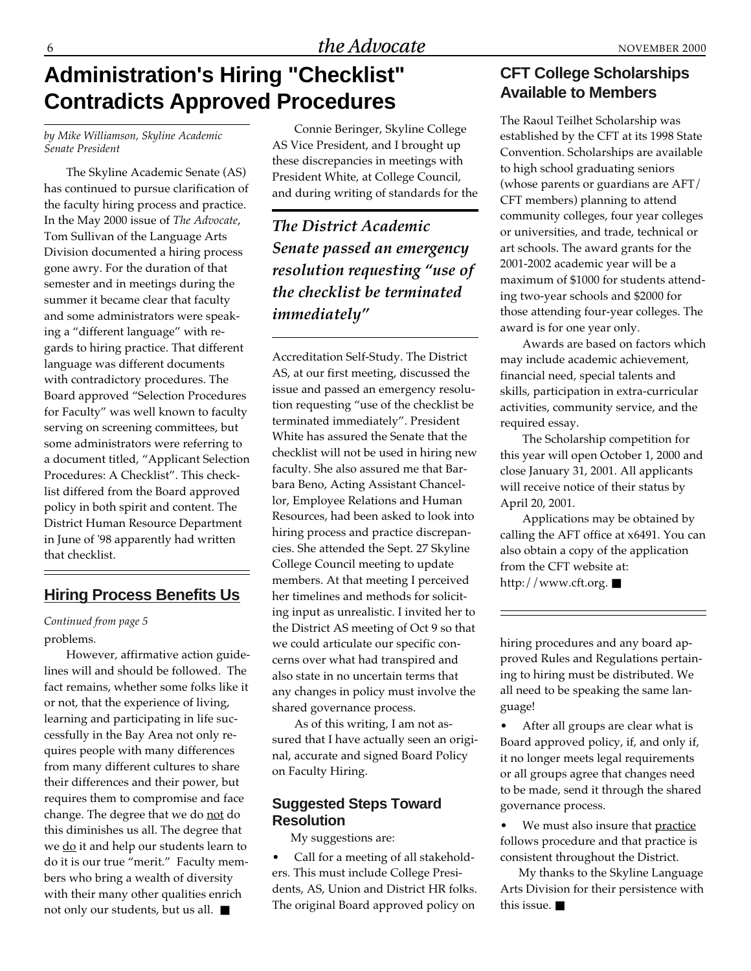### **Administration's Hiring "Checklist" Contradicts Approved Procedures**

*by Mike Williamson, Skyline Academic Senate President*

The Skyline Academic Senate (AS) has continued to pursue clarification of the faculty hiring process and practice. In the May 2000 issue of *The Advocate*, Tom Sullivan of the Language Arts Division documented a hiring process gone awry. For the duration of that semester and in meetings during the summer it became clear that faculty and some administrators were speaking a "different language" with regards to hiring practice. That different language was different documents with contradictory procedures. The Board approved "Selection Procedures for Faculty" was well known to faculty serving on screening committees, but some administrators were referring to a document titled, "Applicant Selection Procedures: A Checklist". This checklist differed from the Board approved policy in both spirit and content. The District Human Resource Department in June of '98 apparently had written that checklist.

#### **Hiring Process Benefits Us**

#### *Continued from page 5* problems.

However, affirmative action guidelines will and should be followed. The fact remains, whether some folks like it or not, that the experience of living, learning and participating in life successfully in the Bay Area not only requires people with many differences from many different cultures to share their differences and their power, but requires them to compromise and face change. The degree that we do not do this diminishes us all. The degree that we do it and help our students learn to do it is our true "merit." Faculty members who bring a wealth of diversity with their many other qualities enrich not only our students, but us all. ■

Connie Beringer, Skyline College AS Vice President, and I brought up these discrepancies in meetings with President White, at College Council, and during writing of standards for the

*The District Academic Senate passed an emergency resolution requesting "use of the checklist be terminated immediately"*

Accreditation Self-Study. The District AS, at our first meeting, discussed the issue and passed an emergency resolution requesting "use of the checklist be terminated immediately". President White has assured the Senate that the checklist will not be used in hiring new faculty. She also assured me that Barbara Beno, Acting Assistant Chancellor, Employee Relations and Human Resources, had been asked to look into hiring process and practice discrepancies. She attended the Sept. 27 Skyline College Council meeting to update members. At that meeting I perceived her timelines and methods for soliciting input as unrealistic. I invited her to the District AS meeting of Oct 9 so that we could articulate our specific concerns over what had transpired and also state in no uncertain terms that any changes in policy must involve the shared governance process.

As of this writing, I am not assured that I have actually seen an original, accurate and signed Board Policy on Faculty Hiring.

#### **Suggested Steps Toward Resolution**

My suggestions are:

• Call for a meeting of all stakeholders. This must include College Presidents, AS, Union and District HR folks. The original Board approved policy on

#### **CFT College Scholarships Available to Members**

The Raoul Teilhet Scholarship was established by the CFT at its 1998 State Convention. Scholarships are available to high school graduating seniors (whose parents or guardians are AFT/ CFT members) planning to attend community colleges, four year colleges or universities, and trade, technical or art schools. The award grants for the 2001-2002 academic year will be a maximum of \$1000 for students attending two-year schools and \$2000 for those attending four-year colleges. The award is for one year only.

Awards are based on factors which may include academic achievement, financial need, special talents and skills, participation in extra-curricular activities, community service, and the required essay.

The Scholarship competition for this year will open October 1, 2000 and close January 31, 2001. All applicants will receive notice of their status by April 20, 2001.

Applications may be obtained by calling the AFT office at x6491. You can also obtain a copy of the application from the CFT website at: http://www.cft.org. ■

hiring procedures and any board approved Rules and Regulations pertaining to hiring must be distributed. We all need to be speaking the same language!

After all groups are clear what is Board approved policy, if, and only if, it no longer meets legal requirements or all groups agree that changes need to be made, send it through the shared governance process.

We must also insure that practice follows procedure and that practice is consistent throughout the District.

My thanks to the Skyline Language Arts Division for their persistence with this issue. ■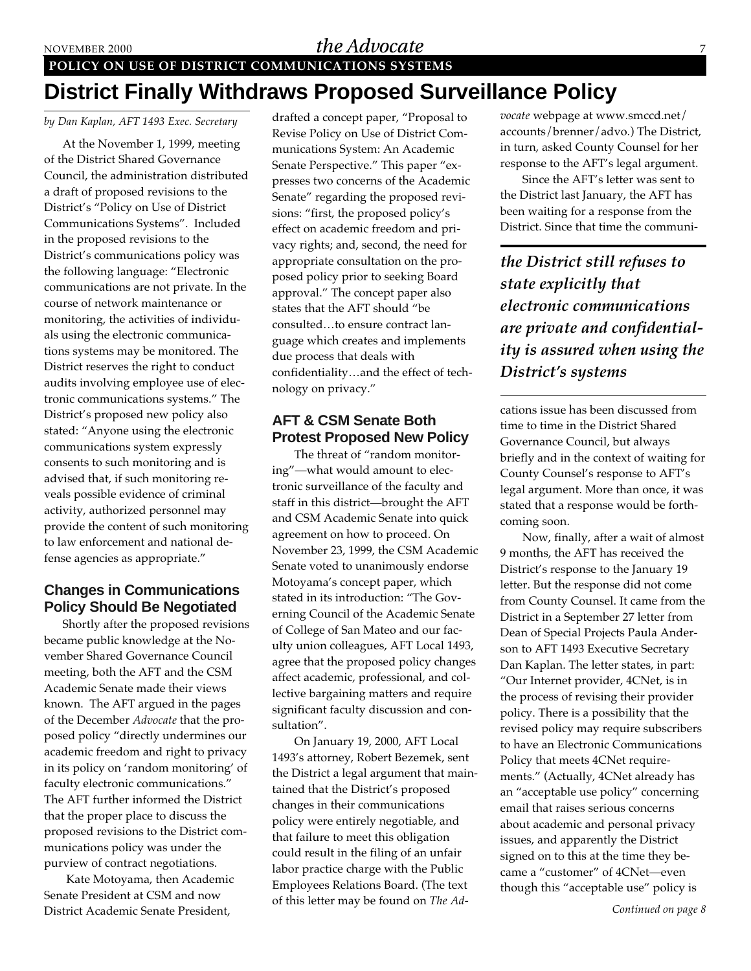#### NOVEMBER 2000  $the \,Advocate$

**POLICY ON USE OF DISTRICT COMMUNICATIONS SYSTEMS**

### **District Finally Withdraws Proposed Surveillance Policy**

#### *by Dan Kaplan, AFT 1493 Exec. Secretary*

At the November 1, 1999, meeting of the District Shared Governance Council, the administration distributed a draft of proposed revisions to the District's "Policy on Use of District Communications Systems". Included in the proposed revisions to the District's communications policy was the following language: "Electronic communications are not private. In the course of network maintenance or monitoring, the activities of individuals using the electronic communications systems may be monitored. The District reserves the right to conduct audits involving employee use of electronic communications systems." The District's proposed new policy also stated: "Anyone using the electronic communications system expressly consents to such monitoring and is advised that, if such monitoring reveals possible evidence of criminal activity, authorized personnel may provide the content of such monitoring to law enforcement and national defense agencies as appropriate."

#### **Changes in Communications Policy Should Be Negotiated**

Shortly after the proposed revisions became public knowledge at the November Shared Governance Council meeting, both the AFT and the CSM Academic Senate made their views known. The AFT argued in the pages of the December *Advocate* that the proposed policy "directly undermines our academic freedom and right to privacy in its policy on 'random monitoring' of faculty electronic communications." The AFT further informed the District that the proper place to discuss the proposed revisions to the District communications policy was under the purview of contract negotiations.

Kate Motoyama, then Academic Senate President at CSM and now District Academic Senate President,

drafted a concept paper, "Proposal to Revise Policy on Use of District Communications System: An Academic Senate Perspective." This paper "expresses two concerns of the Academic Senate" regarding the proposed revisions: "first, the proposed policy's effect on academic freedom and privacy rights; and, second, the need for appropriate consultation on the proposed policy prior to seeking Board approval." The concept paper also states that the AFT should "be consulted…to ensure contract language which creates and implements due process that deals with confidentiality…and the effect of technology on privacy."

#### **AFT & CSM Senate Both Protest Proposed New Policy**

The threat of "random monitoring"—what would amount to electronic surveillance of the faculty and staff in this district—brought the AFT and CSM Academic Senate into quick agreement on how to proceed. On November 23, 1999, the CSM Academic Senate voted to unanimously endorse Motoyama's concept paper, which stated in its introduction: "The Governing Council of the Academic Senate of College of San Mateo and our faculty union colleagues, AFT Local 1493, agree that the proposed policy changes affect academic, professional, and collective bargaining matters and require significant faculty discussion and consultation".

On January 19, 2000, AFT Local 1493's attorney, Robert Bezemek, sent the District a legal argument that maintained that the District's proposed changes in their communications policy were entirely negotiable, and that failure to meet this obligation could result in the filing of an unfair labor practice charge with the Public Employees Relations Board. (The text of this letter may be found on *The Ad-* *vocate* webpage at www.smccd.net/ accounts/brenner/advo.) The District, in turn, asked County Counsel for her response to the AFT's legal argument.

Since the AFT's letter was sent to the District last January, the AFT has been waiting for a response from the District. Since that time the communi-

*the District still refuses to state explicitly that electronic communications are private and confidentiality is assured when using the District's systems*

cations issue has been discussed from time to time in the District Shared Governance Council, but always briefly and in the context of waiting for County Counsel's response to AFT's legal argument. More than once, it was stated that a response would be forthcoming soon.

Now, finally, after a wait of almost 9 months, the AFT has received the District's response to the January 19 letter. But the response did not come from County Counsel. It came from the District in a September 27 letter from Dean of Special Projects Paula Anderson to AFT 1493 Executive Secretary Dan Kaplan. The letter states, in part: "Our Internet provider, 4CNet, is in the process of revising their provider policy. There is a possibility that the revised policy may require subscribers to have an Electronic Communications Policy that meets 4CNet requirements." (Actually, 4CNet already has an "acceptable use policy" concerning email that raises serious concerns about academic and personal privacy issues, and apparently the District signed on to this at the time they became a "customer" of 4CNet—even though this "acceptable use" policy is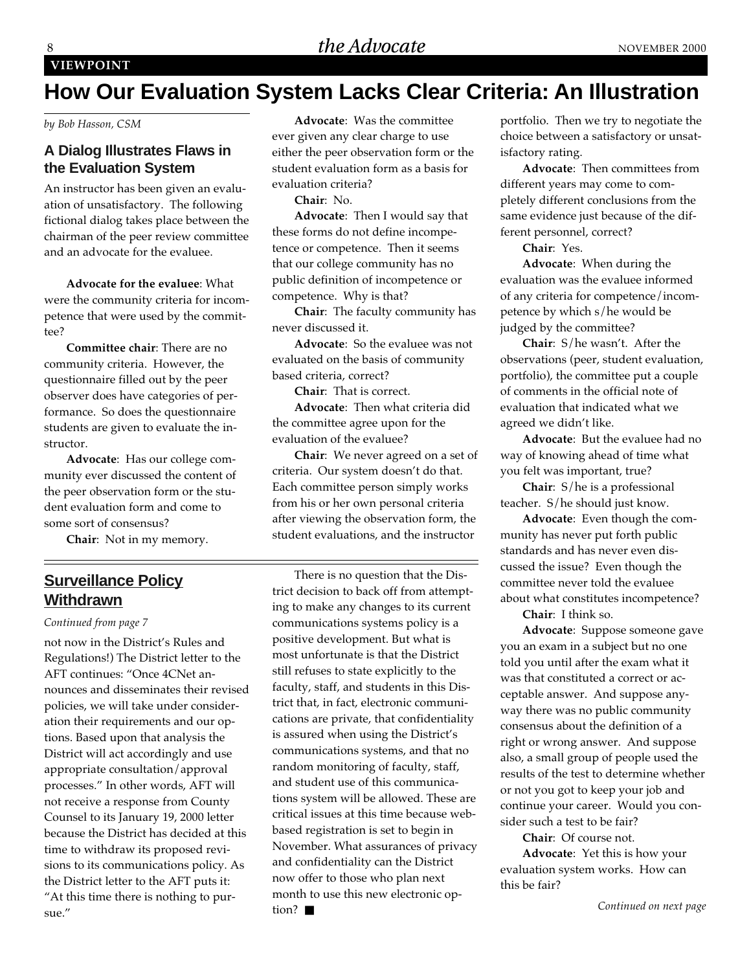### **How Our Evaluation System Lacks Clear Criteria: An Illustration**

*by Bob Hasson, CSM*

#### **A Dialog Illustrates Flaws in the Evaluation System**

An instructor has been given an evaluation of unsatisfactory. The following fictional dialog takes place between the chairman of the peer review committee and an advocate for the evaluee.

**Advocate for the evaluee**: What were the community criteria for incompetence that were used by the commit $tan 2$ 

**Committee chair**: There are no community criteria. However, the questionnaire filled out by the peer observer does have categories of performance. So does the questionnaire students are given to evaluate the instructor.

**Advocate**: Has our college community ever discussed the content of the peer observation form or the student evaluation form and come to some sort of consensus?

**Chair**: Not in my memory.

#### **Surveillance Policy Withdrawn**

#### *Continued from page 7*

not now in the District's Rules and Regulations!) The District letter to the AFT continues: "Once 4CNet announces and disseminates their revised policies, we will take under consideration their requirements and our options. Based upon that analysis the District will act accordingly and use appropriate consultation/approval processes." In other words, AFT will not receive a response from County Counsel to its January 19, 2000 letter because the District has decided at this time to withdraw its proposed revisions to its communications policy. As the District letter to the AFT puts it: "At this time there is nothing to pursue."

**Advocate**: Was the committee ever given any clear charge to use either the peer observation form or the student evaluation form as a basis for evaluation criteria?

**Chair**: No.

**Advocate**: Then I would say that these forms do not define incompetence or competence. Then it seems that our college community has no public definition of incompetence or competence. Why is that?

**Chair**: The faculty community has never discussed it.

**Advocate**: So the evaluee was not evaluated on the basis of community based criteria, correct?

**Chair**: That is correct.

**Advocate**: Then what criteria did the committee agree upon for the evaluation of the evaluee?

**Chair**: We never agreed on a set of criteria. Our system doesn't do that. Each committee person simply works from his or her own personal criteria after viewing the observation form, the student evaluations, and the instructor

There is no question that the District decision to back off from attempting to make any changes to its current communications systems policy is a positive development. But what is most unfortunate is that the District still refuses to state explicitly to the faculty, staff, and students in this District that, in fact, electronic communications are private, that confidentiality is assured when using the District's communications systems, and that no random monitoring of faculty, staff, and student use of this communications system will be allowed. These are critical issues at this time because webbased registration is set to begin in November. What assurances of privacy and confidentiality can the District now offer to those who plan next month to use this new electronic option? ■

portfolio. Then we try to negotiate the choice between a satisfactory or unsatisfactory rating.

**Advocate**: Then committees from different years may come to completely different conclusions from the same evidence just because of the different personnel, correct?

**Chair**: Yes.

**Advocate**: When during the evaluation was the evaluee informed of any criteria for competence/incompetence by which s/he would be judged by the committee?

**Chair**: S/he wasn't. After the observations (peer, student evaluation, portfolio), the committee put a couple of comments in the official note of evaluation that indicated what we agreed we didn't like.

**Advocate**: But the evaluee had no way of knowing ahead of time what you felt was important, true?

**Chair**: S/he is a professional teacher. S/he should just know.

**Advocate**: Even though the community has never put forth public standards and has never even discussed the issue? Even though the committee never told the evaluee about what constitutes incompetence?

**Chair**: I think so.

**Advocate**: Suppose someone gave you an exam in a subject but no one told you until after the exam what it was that constituted a correct or acceptable answer. And suppose anyway there was no public community consensus about the definition of a right or wrong answer. And suppose also, a small group of people used the results of the test to determine whether or not you got to keep your job and continue your career. Would you consider such a test to be fair?

**Chair**: Of course not.

**Advocate**: Yet this is how your evaluation system works. How can this be fair?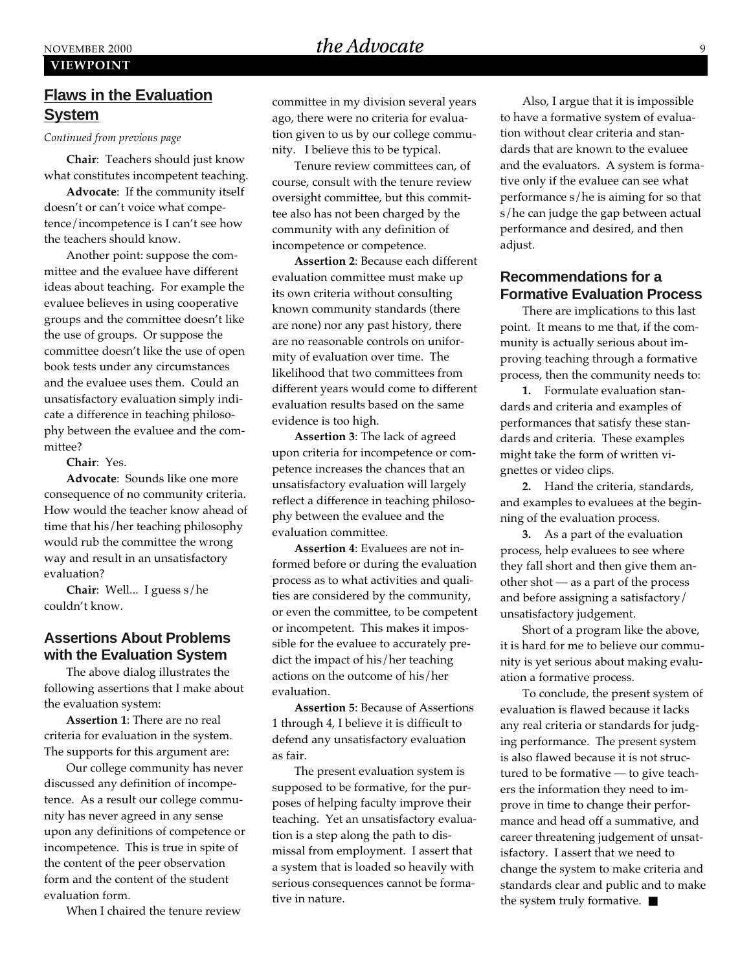### NOVEMBER 2000 **SEXUALLY EXAMPLE 2000**  $the \, Advocate$

#### **VIEWPOINT**

#### **Flaws in the Evaluation System**

*Continued from previous page*

**Chair**: Teachers should just know what constitutes incompetent teaching.

**Advocate**: If the community itself doesn't or can't voice what competence/incompetence is I can't see how the teachers should know.

Another point: suppose the committee and the evaluee have different ideas about teaching. For example the evaluee believes in using cooperative groups and the committee doesn't like the use of groups. Or suppose the committee doesn't like the use of open book tests under any circumstances and the evaluee uses them. Could an unsatisfactory evaluation simply indicate a difference in teaching philosophy between the evaluee and the committee?

**Chair**: Yes.

**Advocate**: Sounds like one more consequence of no community criteria. How would the teacher know ahead of time that his/her teaching philosophy would rub the committee the wrong way and result in an unsatisfactory evaluation?

**Chair**: Well... I guess s/he couldn't know.

#### **Assertions About Problems with the Evaluation System**

The above dialog illustrates the following assertions that I make about the evaluation system:

**Assertion 1**: There are no real criteria for evaluation in the system. The supports for this argument are:

Our college community has never discussed any definition of incompetence. As a result our college community has never agreed in any sense upon any definitions of competence or incompetence. This is true in spite of the content of the peer observation form and the content of the student evaluation form.

When I chaired the tenure review

committee in my division several years ago, there were no criteria for evaluation given to us by our college community. I believe this to be typical.

Tenure review committees can, of course, consult with the tenure review oversight committee, but this committee also has not been charged by the community with any definition of incompetence or competence.

**Assertion 2**: Because each different evaluation committee must make up its own criteria without consulting known community standards (there are none) nor any past history, there are no reasonable controls on uniformity of evaluation over time. The likelihood that two committees from different years would come to different evaluation results based on the same evidence is too high.

**Assertion 3**: The lack of agreed upon criteria for incompetence or competence increases the chances that an unsatisfactory evaluation will largely reflect a difference in teaching philosophy between the evaluee and the evaluation committee.

**Assertion 4**: Evaluees are not informed before or during the evaluation process as to what activities and qualities are considered by the community, or even the committee, to be competent or incompetent. This makes it impossible for the evaluee to accurately predict the impact of his/her teaching actions on the outcome of his/her evaluation.

**Assertion 5**: Because of Assertions 1 through 4, I believe it is difficult to defend any unsatisfactory evaluation as fair.

The present evaluation system is supposed to be formative, for the purposes of helping faculty improve their teaching. Yet an unsatisfactory evaluation is a step along the path to dismissal from employment. I assert that a system that is loaded so heavily with serious consequences cannot be formative in nature.

Also, I argue that it is impossible to have a formative system of evaluation without clear criteria and standards that are known to the evaluee and the evaluators. A system is formative only if the evaluee can see what performance s/he is aiming for so that s/he can judge the gap between actual performance and desired, and then adjust.

#### **Recommendations for a Formative Evaluation Process**

There are implications to this last point. It means to me that, if the community is actually serious about improving teaching through a formative process, then the community needs to:

**1.** Formulate evaluation standards and criteria and examples of performances that satisfy these standards and criteria. These examples might take the form of written vignettes or video clips.

**2.** Hand the criteria, standards, and examples to evaluees at the beginning of the evaluation process.

**3.** As a part of the evaluation process, help evaluees to see where they fall short and then give them another shot — as a part of the process and before assigning a satisfactory/ unsatisfactory judgement.

Short of a program like the above, it is hard for me to believe our community is yet serious about making evaluation a formative process.

To conclude, the present system of evaluation is flawed because it lacks any real criteria or standards for judging performance. The present system is also flawed because it is not structured to be formative — to give teachers the information they need to improve in time to change their performance and head off a summative, and career threatening judgement of unsatisfactory. I assert that we need to change the system to make criteria and standards clear and public and to make the system truly formative. ■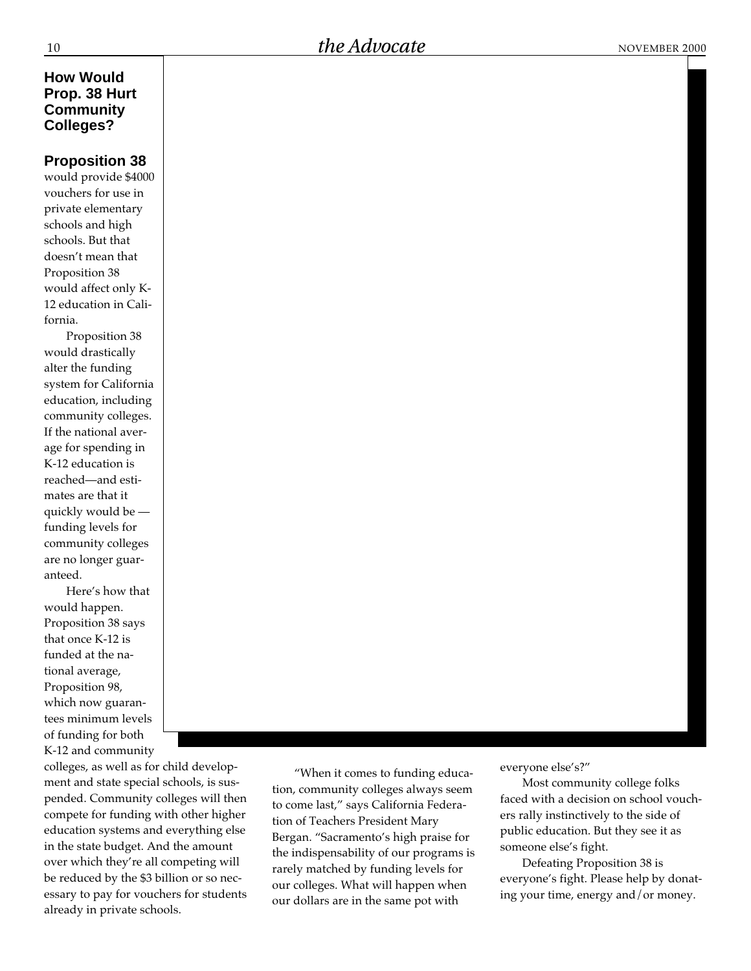#### **How Would Prop. 38 Hurt Community Colleges?**

#### **Proposition 38**

would provide \$4000 vouchers for use in private elementary schools and high schools. But that doesn't mean that Proposition 38 would affect only K-12 education in California.

Proposition 38 would drastically alter the funding system for California education, including community colleges. If the national average for spending in K-12 education is reached—and estimates are that it quickly would be funding levels for community colleges are no longer guaranteed.

Here's how that would happen. Proposition 38 says that once K-12 is funded at the national average, Proposition 98, which now guarantees minimum levels of funding for both K-12 and community

colleges, as well as for child development and state special schools, is suspended. Community colleges will then compete for funding with other higher education systems and everything else in the state budget. And the amount over which they're all competing will be reduced by the \$3 billion or so necessary to pay for vouchers for students already in private schools.

"When it comes to funding education, community colleges always seem to come last," says California Federation of Teachers President Mary Bergan. "Sacramento's high praise for the indispensability of our programs is rarely matched by funding levels for our colleges. What will happen when our dollars are in the same pot with

everyone else's?"

Most community college folks faced with a decision on school vouchers rally instinctively to the side of public education. But they see it as someone else's fight.

Defeating Proposition 38 is everyone's fight. Please help by donating your time, energy and/or money.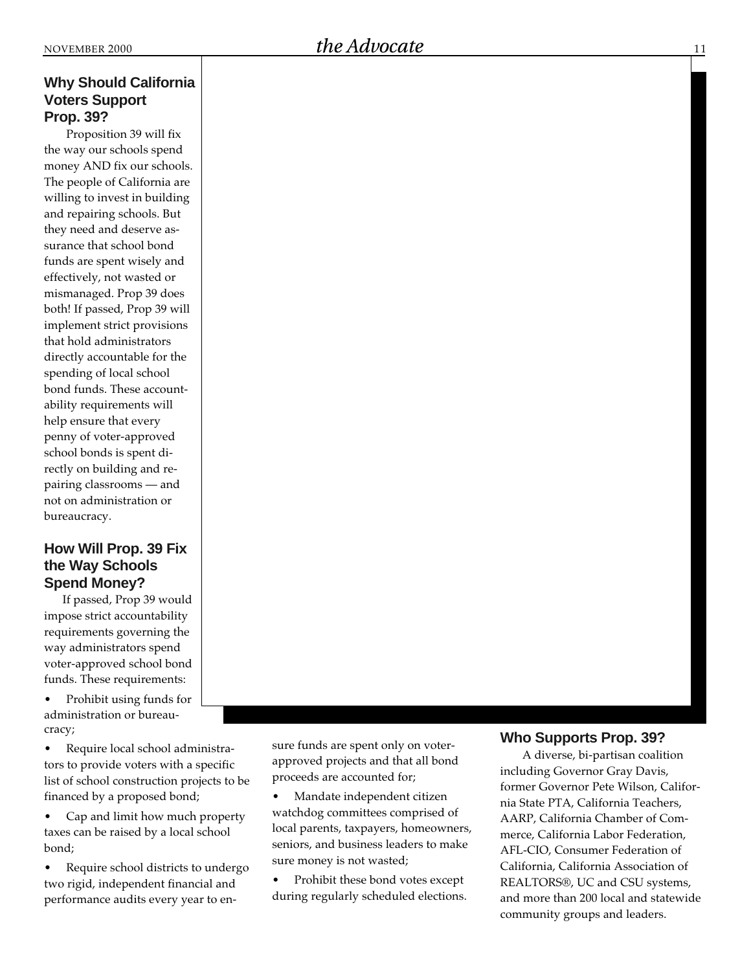#### **Why Should California Voters Support Prop. 39?**

Proposition 39 will fix the way our schools spend money AND fix our schools. The people of California are willing to invest in building and repairing schools. But they need and deserve assurance that school bond funds are spent wisely and effectively, not wasted or mismanaged. Prop 39 does both! If passed, Prop 39 will implement strict provisions that hold administrators directly accountable for the spending of local school bond funds. These accountability requirements will help ensure that every penny of voter-approved school bonds is spent directly on building and repairing classrooms — and not on administration or bureaucracy.

#### **How Will Prop. 39 Fix the Way Schools Spend Money?**

If passed, Prop 39 would impose strict accountability requirements governing the way administrators spend voter-approved school bond funds. These requirements:

- Prohibit using funds for administration or bureaucracy;
- Require local school administrators to provide voters with a specific list of school construction projects to be financed by a proposed bond;
- Cap and limit how much property taxes can be raised by a local school bond;
- Require school districts to undergo two rigid, independent financial and performance audits every year to en-

sure funds are spent only on voterapproved projects and that all bond proceeds are accounted for;

- Mandate independent citizen watchdog committees comprised of local parents, taxpayers, homeowners, seniors, and business leaders to make sure money is not wasted;
- Prohibit these bond votes except during regularly scheduled elections.

#### **Who Supports Prop. 39?**

A diverse, bi-partisan coalition including Governor Gray Davis, former Governor Pete Wilson, California State PTA, California Teachers, AARP, California Chamber of Commerce, California Labor Federation, AFL-CIO, Consumer Federation of California, California Association of REALTORS®, UC and CSU systems, and more than 200 local and statewide community groups and leaders.